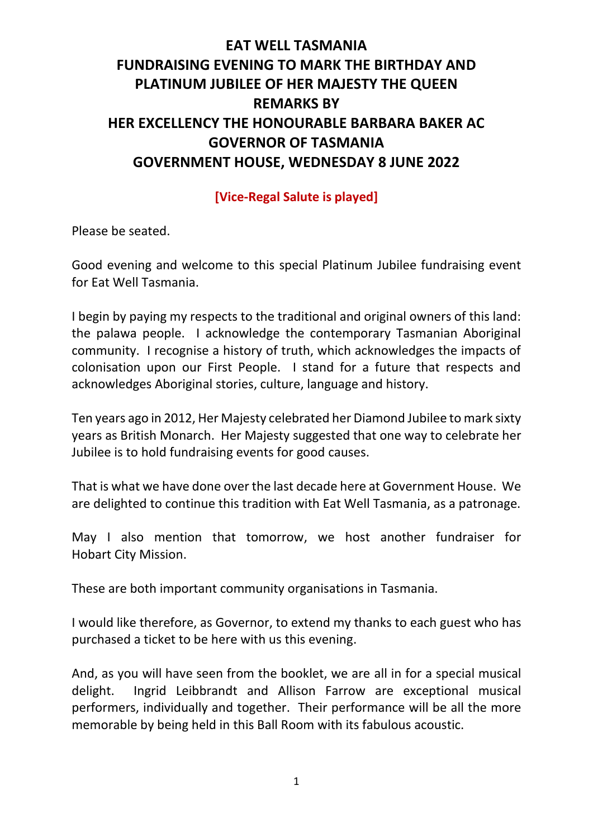## **EAT WELL TASMANIA FUNDRAISING EVENING TO MARK THE BIRTHDAY AND PLATINUM JUBILEE OF HER MAJESTY THE QUEEN REMARKS BY HER EXCELLENCY THE HONOURABLE BARBARA BAKER AC GOVERNOR OF TASMANIA GOVERNMENT HOUSE, WEDNESDAY 8 JUNE 2022**

## **[Vice-Regal Salute is played]**

Please be seated.

Good evening and welcome to this special Platinum Jubilee fundraising event for Eat Well Tasmania.

I begin by paying my respects to the traditional and original owners of this land: the palawa people. I acknowledge the contemporary Tasmanian Aboriginal community. I recognise a history of truth, which acknowledges the impacts of colonisation upon our First People. I stand for a future that respects and acknowledges Aboriginal stories, culture, language and history.

Ten years ago in 2012, Her Majesty celebrated her Diamond Jubilee to mark sixty years as British Monarch. Her Majesty suggested that one way to celebrate her Jubilee is to hold fundraising events for good causes.

That is what we have done over the last decade here at Government House. We are delighted to continue this tradition with Eat Well Tasmania, as a patronage.

May I also mention that tomorrow, we host another fundraiser for Hobart City Mission.

These are both important community organisations in Tasmania.

I would like therefore, as Governor, to extend my thanks to each guest who has purchased a ticket to be here with us this evening.

And, as you will have seen from the booklet, we are all in for a special musical delight. Ingrid Leibbrandt and Allison Farrow are exceptional musical performers, individually and together. Their performance will be all the more memorable by being held in this Ball Room with its fabulous acoustic.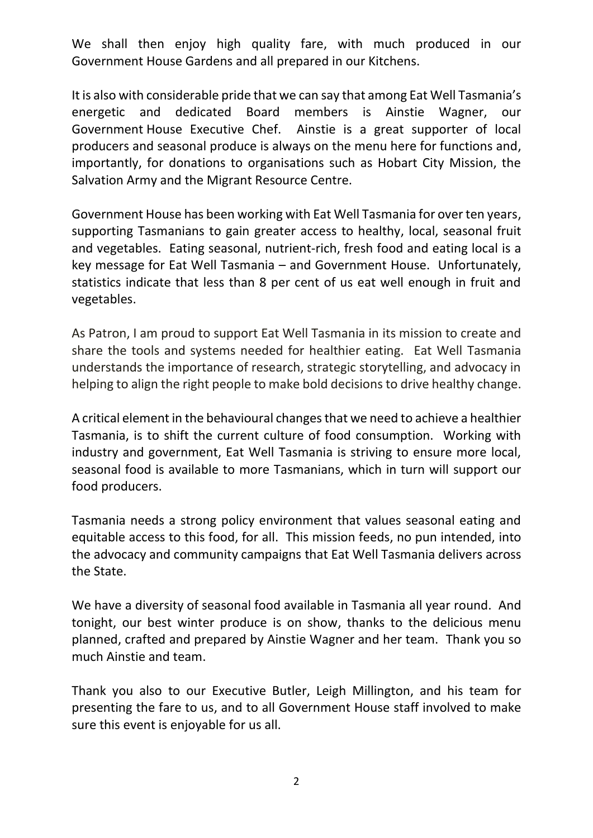We shall then enjoy high quality fare, with much produced in our Government House Gardens and all prepared in our Kitchens.

It is also with considerable pride that we can say that among Eat Well Tasmania's energetic and dedicated Board members is Ainstie Wagner, our Government House Executive Chef. Ainstie is a great supporter of local producers and seasonal produce is always on the menu here for functions and, importantly, for donations to organisations such as Hobart City Mission, the Salvation Army and the Migrant Resource Centre.

Government House has been working with Eat Well Tasmania for over ten years, supporting Tasmanians to gain greater access to healthy, local, seasonal fruit and vegetables. Eating seasonal, nutrient-rich, fresh food and eating local is a key message for Eat Well Tasmania – and Government House. Unfortunately, statistics indicate that less than 8 per cent of us eat well enough in fruit and vegetables.

As Patron, I am proud to support Eat Well Tasmania in its mission to create and share the tools and systems needed for healthier eating. Eat Well Tasmania understands the importance of research, strategic storytelling, and advocacy in helping to align the right people to make bold decisions to drive healthy change.

A critical element in the behavioural changes that we need to achieve a healthier Tasmania, is to shift the current culture of food consumption. Working with industry and government, Eat Well Tasmania is striving to ensure more local, seasonal food is available to more Tasmanians, which in turn will support our food producers.

Tasmania needs a strong policy environment that values seasonal eating and equitable access to this food, for all. This mission feeds, no pun intended, into the advocacy and community campaigns that Eat Well Tasmania delivers across the State.

We have a diversity of seasonal food available in Tasmania all year round. And tonight, our best winter produce is on show, thanks to the delicious menu planned, crafted and prepared by Ainstie Wagner and her team. Thank you so much Ainstie and team.

Thank you also to our Executive Butler, Leigh Millington, and his team for presenting the fare to us, and to all Government House staff involved to make sure this event is enjoyable for us all.